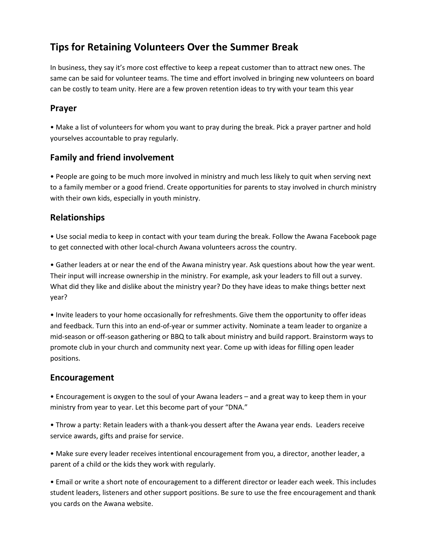# **Tips for Retaining Volunteers Over the Summer Break**

In business, they say it's more cost effective to keep a repeat customer than to attract new ones. The same can be said for volunteer teams. The time and effort involved in bringing new volunteers on board can be costly to team unity. Here are a few proven retention ideas to try with your team this year

## **Prayer**

• Make a list of volunteers for whom you want to pray during the break. Pick a prayer partner and hold yourselves accountable to pray regularly.

## **Family and friend involvement**

• People are going to be much more involved in ministry and much less likely to quit when serving next to a family member or a good friend. Create opportunities for parents to stay involved in church ministry with their own kids, especially in youth ministry.

## **Relationships**

• Use social media to keep in contact with your team during the break. Follow the Awana Facebook page to get connected with other local-church Awana volunteers across the country.

• Gather leaders at or near the end of the Awana ministry year. Ask questions about how the year went. Their input will increase ownership in the ministry. For example, ask your leaders to fill out a survey. What did they like and dislike about the ministry year? Do they have ideas to make things better next year?

• Invite leaders to your home occasionally for refreshments. Give them the opportunity to offer ideas and feedback. Turn this into an end-of-year or summer activity. Nominate a team leader to organize a mid-season or off-season gathering or BBQ to talk about ministry and build rapport. Brainstorm ways to promote club in your church and community next year. Come up with ideas for filling open leader positions.

#### **Encouragement**

• Encouragement is oxygen to the soul of your Awana leaders – and a great way to keep them in your ministry from year to year. Let this become part of your "DNA."

• Throw a party: Retain leaders with a thank-you dessert after the Awana year ends. Leaders receive service awards, gifts and praise for service.

• Make sure every leader receives intentional encouragement from you, a director, another leader, a parent of a child or the kids they work with regularly.

• Email or write a short note of encouragement to a different director or leader each week. This includes student leaders, listeners and other support positions. Be sure to use the free encouragement and thank you cards on the Awana website.